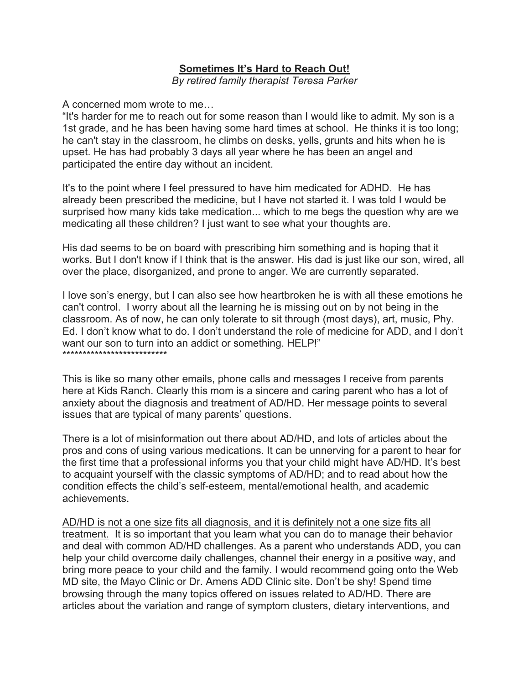## **Sometimes It's Hard to Reach Out!**

*By retired family therapist Teresa Parker*

A concerned mom wrote to me…

"It's harder for me to reach out for some reason than I would like to admit. My son is a 1st grade, and he has been having some hard times at school. He thinks it is too long; he can't stay in the classroom, he climbs on desks, yells, grunts and hits when he is upset. He has had probably 3 days all year where he has been an angel and participated the entire day without an incident.

It's to the point where I feel pressured to have him medicated for ADHD. He has already been prescribed the medicine, but I have not started it. I was told I would be surprised how many kids take medication... which to me begs the question why are we medicating all these children? I just want to see what your thoughts are.

His dad seems to be on board with prescribing him something and is hoping that it works. But I don't know if I think that is the answer. His dad is just like our son, wired, all over the place, disorganized, and prone to anger. We are currently separated.

I love son's energy, but I can also see how heartbroken he is with all these emotions he can't control. I worry about all the learning he is missing out on by not being in the classroom. As of now, he can only tolerate to sit through (most days), art, music, Phy. Ed. I don't know what to do. I don't understand the role of medicine for ADD, and I don't want our son to turn into an addict or something. HELP!" \*\*\*\*\*\*\*\*\*\*\*\*\*\*\*\*\*\*\*\*\*\*\*\*\*\*

This is like so many other emails, phone calls and messages I receive from parents here at Kids Ranch. Clearly this mom is a sincere and caring parent who has a lot of anxiety about the diagnosis and treatment of AD/HD. Her message points to several issues that are typical of many parents' questions.

There is a lot of misinformation out there about AD/HD, and lots of articles about the pros and cons of using various medications. It can be unnerving for a parent to hear for the first time that a professional informs you that your child might have AD/HD. It's best to acquaint yourself with the classic symptoms of AD/HD; and to read about how the condition effects the child's self-esteem, mental/emotional health, and academic achievements.

AD/HD is not a one size fits all diagnosis, and it is definitely not a one size fits all treatment. It is so important that you learn what you can do to manage their behavior and deal with common AD/HD challenges. As a parent who understands ADD, you can help your child overcome daily challenges, channel their energy in a positive way, and bring more peace to your child and the family. I would recommend going onto the Web MD site, the Mayo Clinic or Dr. Amens ADD Clinic site. Don't be shy! Spend time browsing through the many topics offered on issues related to AD/HD. There are articles about the variation and range of symptom clusters, dietary interventions, and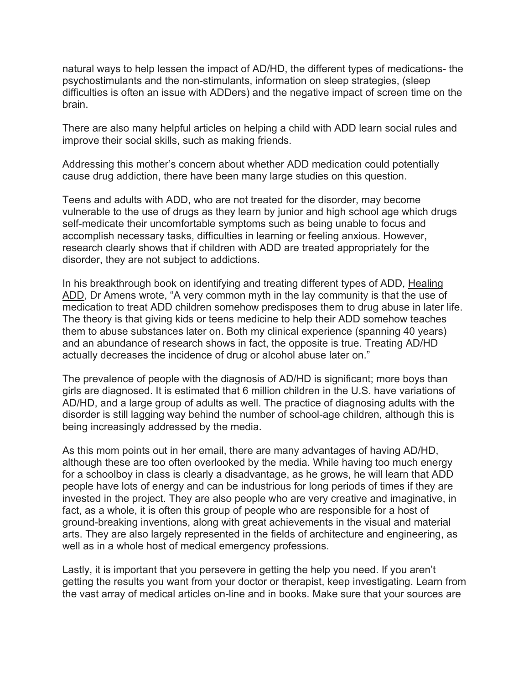natural ways to help lessen the impact of AD/HD, the different types of medications- the psychostimulants and the non-stimulants, information on sleep strategies, (sleep difficulties is often an issue with ADDers) and the negative impact of screen time on the brain.

There are also many helpful articles on helping a child with ADD learn social rules and improve their social skills, such as making friends.

Addressing this mother's concern about whether ADD medication could potentially cause drug addiction, there have been many large studies on this question.

Teens and adults with ADD, who are not treated for the disorder, may become vulnerable to the use of drugs as they learn by junior and high school age which drugs self-medicate their uncomfortable symptoms such as being unable to focus and accomplish necessary tasks, difficulties in learning or feeling anxious. However, research clearly shows that if children with ADD are treated appropriately for the disorder, they are not subject to addictions.

In his breakthrough book on identifying and treating different types of ADD, Healing ADD, Dr Amens wrote, "A very common myth in the lay community is that the use of medication to treat ADD children somehow predisposes them to drug abuse in later life. The theory is that giving kids or teens medicine to help their ADD somehow teaches them to abuse substances later on. Both my clinical experience (spanning 40 years) and an abundance of research shows in fact, the opposite is true. Treating AD/HD actually decreases the incidence of drug or alcohol abuse later on."

The prevalence of people with the diagnosis of AD/HD is significant; more boys than girls are diagnosed. It is estimated that 6 million children in the U.S. have variations of AD/HD, and a large group of adults as well. The practice of diagnosing adults with the disorder is still lagging way behind the number of school-age children, although this is being increasingly addressed by the media.

As this mom points out in her email, there are many advantages of having AD/HD, although these are too often overlooked by the media. While having too much energy for a schoolboy in class is clearly a disadvantage, as he grows, he will learn that ADD people have lots of energy and can be industrious for long periods of times if they are invested in the project. They are also people who are very creative and imaginative, in fact, as a whole, it is often this group of people who are responsible for a host of ground-breaking inventions, along with great achievements in the visual and material arts. They are also largely represented in the fields of architecture and engineering, as well as in a whole host of medical emergency professions.

Lastly, it is important that you persevere in getting the help you need. If you aren't getting the results you want from your doctor or therapist, keep investigating. Learn from the vast array of medical articles on-line and in books. Make sure that your sources are